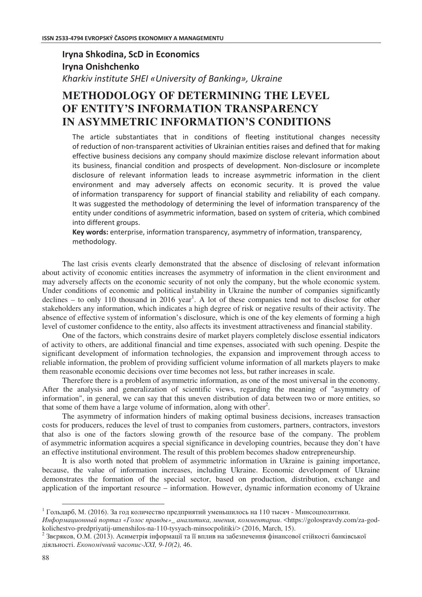# **Iryna Shkodina, ScD in Economics Irvna Onishchenko**

*Kharkiv institute SHEI «University of Banking», Ukraine* 

## **METHODOLOGY OF DETERMINING THE LEVEL OF ENTITY'S INFORMATION TRANSPARENCY IN ASYMMETRIC INFORMATION'S CONDITIONS**

The article substantiates that in conditions of fleeting institutional changes necessity of reduction of non-transparent activities of Ukrainian entities raises and defined that for making effective business decisions any company should maximize disclose relevant information about its business, financial condition and prospects of development. Non-disclosure or incomplete disclosure of relevant information leads to increase asymmetric information in the client environment and may adversely affects on economic security. It is proved the value of information transparency for support of financial stability and reliability of each company. It was suggested the methodology of determining the level of information transparency of the entity under conditions of asymmetric information, based on system of criteria, which combined into different groups.

Key words: enterprise, information transparency, asymmetry of information, transparency, methodology.

The last crisis events clearly demonstrated that the absence of disclosing of relevant information about activity of economic entities increases the asymmetry of information in the client environment and may adversely affects on the economic security of not only the company, but the whole economic system. Under conditions of economic and political instability in Ukraine the number of companies significantly declines  $-$  to only 110 thousand in 2016 year<sup>1</sup>. A lot of these companies tend not to disclose for other stakeholders any information, which indicates a high degree of risk or negative results of their activity. The absence of effective system of information's disclosure, which is one of the key elements of forming a high level of customer confidence to the entity, also affects its investment attractiveness and financial stability.

One of the factors, which constrains desire of market players completely disclose essential indicators of activity to others, are additional financial and time expenses, associated with such opening. Despite the significant development of information technologies, the expansion and improvement through access to reliable information, the problem of providing sufficient volume information of all markets players to make them reasonable economic decisions over time becomes not less, but rather increases in scale.

Therefore there is a problem of asymmetric information, as one of the most universal in the economy. After the analysis and generalization of scientific views, regarding the meaning of "asymmetry of information", in general, we can say that this uneven distribution of data between two or more entities, so that some of them have a large volume of information, along with other<sup>2</sup>.

The asymmetry of information hinders of making optimal business decisions, increases transaction costs for producers, reduces the level of trust to companies from customers, partners, contractors, investors that also is one of the factors slowing growth of the resource base of the company. The problem of asymmetric information acquires a special significance in developing countries, because they don't have an effective institutional environment. The result of this problem becomes shadow entrepreneurship.

It is also worth noted that problem of asymmetric information in Ukraine is gaining importance, because, the value of information increases, including Ukraine. Economic development of Ukraine demonstrates the formation of the special sector, based on production, distribution, exchange and application of the important resource – information. However, dynamic information economy of Ukraine

 $\overline{a}$ 

 $^1$  Гольдарб, М. (2016). За год количество предприятий уменьшилось на 110 тысяч - Минсоцполитики.

 $M$ нформационный портал «Голос правды»\_ аналитика, мнения, комментарии. <https://golospravdy.com/za-godkolichestvo-predpriyatij-umenshilos-na-110-tysyach-minsocpolitiki/> (2016, March, 15).

 $^2$  Звєряков, О.М. (2013). Асиметрія інформації та її вплив на забезпечення фінансової стійкості банківської діяльності. *Економічний часопис-ХХІ*, 9-10(2), 46.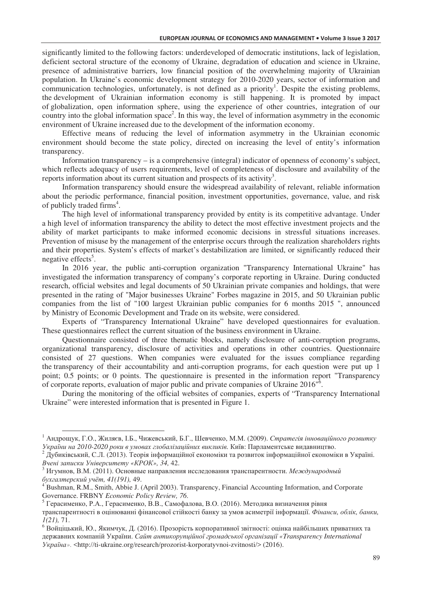significantly limited to the following factors: underdeveloped of democratic institutions, lack of legislation, deficient sectoral structure of the economy of Ukraine, degradation of education and science in Ukraine, presence of administrative barriers, low financial position of the overwhelming majority of Ukrainian population. In Ukraine's economic development strategy for 2010-2020 years, sector of information and communication technologies, unfortunately, is not defined as a priority<sup>1</sup>. Despite the existing problems, the development of Ukrainian information economy is still happening. It is promoted by impact of globalization, open information sphere, using the experience of other countries, integration of our country into the global information space<sup>2</sup>. In this way, the level of information asymmetry in the economic environment of Ukraine increased due to the development of the information economy.

Effective means of reducing the level of information asymmetry in the Ukrainian economic environment should become the state policy, directed on increasing the level of entity's information transparency.

Information transparency – is a comprehensive (integral) indicator of openness of economy's subject, which reflects adequacy of users requirements, level of completeness of disclosure and availability of the reports information about its current situation and prospects of its activity<sup>3</sup>.

Information transparency should ensure the widespread availability of relevant, reliable information about the periodic performance, financial position, investment opportunities, governance, value, and risk of publicly traded firms<sup>4</sup>.

The high level of informational transparency provided by entity is its competitive advantage. Under a high level of information transparency the ability to detect the most effective investment projects and the ability of market participants to make informed economic decisions in stressful situations increases. Prevention of misuse by the management of the enterprise occurs through the realization shareholders rights and their properties. System's effects of market's destabilization are limited, or significantly reduced their negative effects<sup>5</sup>.

In 2016 year, the public anti-corruption organization "Transparency International Ukraine" has investigated the information transparency of company's corporate reporting in Ukraine. During conducted research, official websites and legal documents of 50 Ukrainian private companies and holdings, that were presented in the rating of "Major businesses Ukraine" Forbes magazine in 2015, and 50 Ukrainian public companies from the list of "100 largest Ukrainian public companies for 6 months 2015 ", announced by Ministry of Economic Development and Trade on its website, were considered.

Experts of "Transparency International Ukraine" have developed questionnaires for evaluation. These questionnaires reflect the current situation of the business environment in Ukraine.

Questionnaire consisted of three thematic blocks, namely disclosure of anti-corruption programs, organizational transparency, disclosure of activities and operations in other countries. Questionnaire consisted of 27 questions. When companies were evaluated for the issues compliance regarding the transparency of their accountability and anti-corruption programs, for each question were put up 1 point; 0.5 points; or 0 points. The questionnaire is presented in the information report "Transparency of corporate reports, evaluation of major public and private companies of Ukraine 2016<sup>6</sup>.

During the monitoring of the official websites of companies, experts of "Transparency International Ukraine" were interested information that is presented in Figure 1.

 $\overline{a}$ 

<sup>&</sup>lt;sup>1</sup> Андрощук, Г.О., Жиляєв, І.Б., Чижевський, Б.Г., Шевченко, М.М. (2009). *Стратегія інноваційного розвитку* України на 2010-2020 роки в умовах глобалізаційних викликів. Київ: Парламентське видавництво.

 $^2$  Дубиківський, С.Л. (2013). Теорія інформаційної економіки та розвиток інформаційної економіки в Україні. *Bчені записки Університету* «КРОК», 34, 42.

 $^3$  Игумнов, В.М. (2011). Основные направления исследования транспарентности. *Международный*  $\delta$ ухгалтерский учёт, 41(191), 49.

<sup>&</sup>lt;sup>4</sup> Bushman, R.M., Smith, Abbie J. (April 2003). Transparency, Financial Accounting Information, and Corporate Governance. FRBNY *Economic Policy Review, 76*.

 $^5$  Герасименко, Р.А., Герасименко, В.В., Самофалова, В.О. (2016). Методика визначення рівня

транспарентності в оцінюванні фінансової стійкості банку за умов асиметрії інформації. *Фінанси, облік, банки, 1(21),* 71.

 $^6$ Войціцький, Ю., Якимчук, Д. (2016). Прозорість корпоративної звітності: оцінка найбільших приватних та державних компаній України. Сайт антикорупційної громадської організації «Transparency International *8(».* <http://ti-ukraine.org/research/prozorist-korporatyvnoi-zvitnosti/> (2016).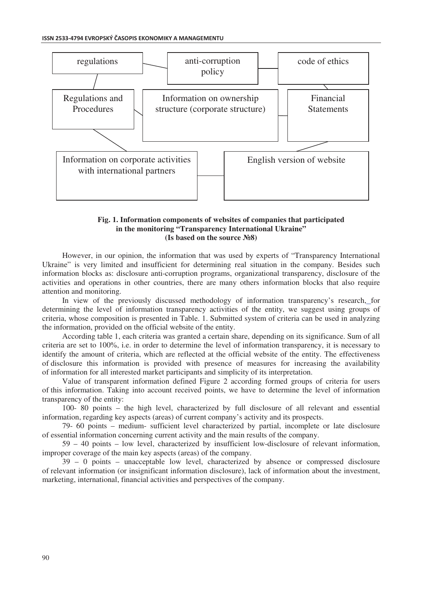#### ISSN 2533-4794 EVROPSKÝ ČASOPIS EKONOMIKY A MANAGEMENTU



### **Fig. 1. Information components of websites of companies that participated in the monitoring "Transparency International Ukraine" (Is based on the source >8)**

However, in our opinion, the information that was used by experts of "Transparency International Ukraine" is very limited and insufficient for determining real situation in the company. Besides such information blocks as: disclosure anti-corruption programs, organizational transparency, disclosure of the activities and operations in other countries, there are many others information blocks that also require attention and monitoring.

In view of the previously discussed methodology of information transparency's research, for determining the level of information transparency activities of the entity, we suggest using groups of criteria, whose composition is presented in Table. 1. Submitted system of criteria can be used in analyzing the information, provided on the official website of the entity.

According table 1, each criteria was granted a certain share, depending on its significance. Sum of all criteria are set to 100%, i.e. in order to determine the level of information transparency, it is necessary to identify the amount of criteria, which are reflected at the official website of the entity. The effectiveness of disclosure this information is provided with presence of measures for increasing the availability of information for all interested market participants and simplicity of its interpretation.

Value of transparent information defined Figure 2 according formed groups of criteria for users of this information. Taking into account received points, we have to determine the level of information transparency of the entity:

100- 80 points – the high level, characterized by full disclosure of all relevant and essential information, regarding key aspects (areas) of current company's activity and its prospects.

79- 60 points – medium- sufficient level characterized by partial, incomplete or late disclosure of essential information concerning current activity and the main results of the company.

59 – 40 points – low level, characterized by insufficient low-disclosure of relevant information, improper coverage of the main key aspects (areas) of the company.

39 – 0 points – unacceptable low level, characterized by absence or compressed disclosure of relevant information (or insignificant information disclosure), lack of information about the investment, marketing, international, financial activities and perspectives of the company.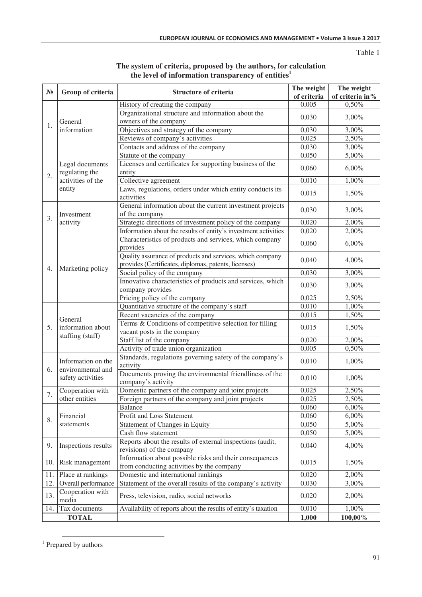Table 1

| $\mathbf{N_2}$ | Group of criteria                                                | Structure of criteria                                                                                             | The weight     | The weight      |
|----------------|------------------------------------------------------------------|-------------------------------------------------------------------------------------------------------------------|----------------|-----------------|
|                |                                                                  |                                                                                                                   | of criteria    | of criteria in% |
| 1.             | General<br>information                                           | History of creating the company                                                                                   | 0,005          | 0,50%           |
|                |                                                                  | Organizational structure and information about the<br>owners of the company                                       | 0,030          | 3,00%           |
|                |                                                                  | Objectives and strategy of the company                                                                            | 0,030          | 3,00%           |
|                |                                                                  | Reviews of company's activities                                                                                   | 0,025          | 2,50%           |
|                |                                                                  | Contacts and address of the company                                                                               | 0,030          | 3,00%           |
| 2.             | Legal documents<br>regulating the<br>activities of the<br>entity | Statute of the company                                                                                            | 0,050          | 5,00%           |
|                |                                                                  | Licenses and certificates for supporting business of the<br>entity                                                | 0,060          | 6,00%           |
|                |                                                                  | Collective agreement                                                                                              | 0,010          | 1,00%           |
|                |                                                                  | Laws, regulations, orders under which entity conducts its                                                         |                |                 |
|                |                                                                  | activities                                                                                                        | 0,015          | 1,50%           |
| 3.             | Investment<br>activity                                           | General information about the current investment projects<br>of the company                                       | 0,030          | 3,00%           |
|                |                                                                  | Strategic directions of investment policy of the company                                                          | 0,020          | 2,00%           |
|                |                                                                  | Information about the results of entity's investment activities                                                   | 0,020          | 2,00%           |
|                |                                                                  | Characteristics of products and services, which company                                                           |                |                 |
| 4.             | Marketing policy                                                 | provides                                                                                                          | 0,060          | $6,00\%$        |
|                |                                                                  | Quality assurance of products and services, which company<br>provides (Certificates, diplomas, patents, licenses) | 0,040          | 4,00%           |
|                |                                                                  | Social policy of the company                                                                                      | 0,030          | 3,00%           |
|                |                                                                  | Innovative characteristics of products and services, which                                                        | 0,030          | 3,00%           |
|                |                                                                  | company provides                                                                                                  |                |                 |
|                |                                                                  | Pricing policy of the company                                                                                     | 0,025          | 2,50%           |
| 5.             | General<br>information about<br>staffing (staff)                 | Quantitative structure of the company's staff                                                                     | 0,010          | 1,00%           |
|                |                                                                  | Recent vacancies of the company                                                                                   | 0,015          | 1,50%           |
|                |                                                                  | Terms & Conditions of competitive selection for filling                                                           | 0,015          | 1,50%           |
|                |                                                                  | vacant posts in the company                                                                                       |                |                 |
|                |                                                                  | Staff list of the company                                                                                         | 0,020          | 2,00%           |
|                |                                                                  | Activity of trade union organization                                                                              | 0,005          | 0,50%           |
| 6.             | Information on the<br>environmental and<br>safety activities     | Standards, regulations governing safety of the company's<br>activity                                              | 0,010          | 1,00%           |
|                |                                                                  | Documents proving the environmental friendliness of the<br>company's activity                                     | 0,010          | 1,00%           |
| 7.             | Cooperation with                                                 | Domestic partners of the company and joint projects                                                               | 0,025          | 2,50%           |
|                | other entities                                                   | Foreign partners of the company and joint projects                                                                | 0,025          | 2,50%           |
| 8.             | Financial<br>statements                                          | <b>Balance</b>                                                                                                    | 0,060          | 6,00%           |
|                |                                                                  | Profit and Loss Statement                                                                                         | 0,060          | $6,00\%$        |
|                |                                                                  | Statement of Changes in Equity                                                                                    | 0,050          | 5,00%           |
|                |                                                                  | Cash flow statement                                                                                               | 0,050          | 5,00%           |
|                |                                                                  | Reports about the results of external inspections (audit,                                                         |                |                 |
| 9.             | Inspections results                                              | revisions) of the company                                                                                         | 0,040          | 4,00%           |
| 10.            | Risk management                                                  | Information about possible risks and their consequences                                                           | 0,015          | 1,50%           |
|                |                                                                  | from conducting activities by the company                                                                         |                | 2,00%           |
| 11.<br>12.     | Place at rankings<br>Overall performance                         | Domestic and international rankings<br>Statement of the overall results of the company's activity                 | 0,020<br>0,030 | 3,00%           |
|                | Cooperation with                                                 |                                                                                                                   |                |                 |
| 13.            | media                                                            | Press, television, radio, social networks                                                                         | 0,020          | 2,00%           |
| 14.            | Tax documents                                                    | Availability of reports about the results of entity's taxation                                                    | 0,010          | 1,00%           |
|                | <b>TOTAL</b>                                                     |                                                                                                                   | 1,000          | 100,00%         |

### **The system of criteria, proposed by the authors, for calculation the level of information transparency of entities<sup>1</sup>**

<sup>&</sup>lt;sup>1</sup> Prepared by authors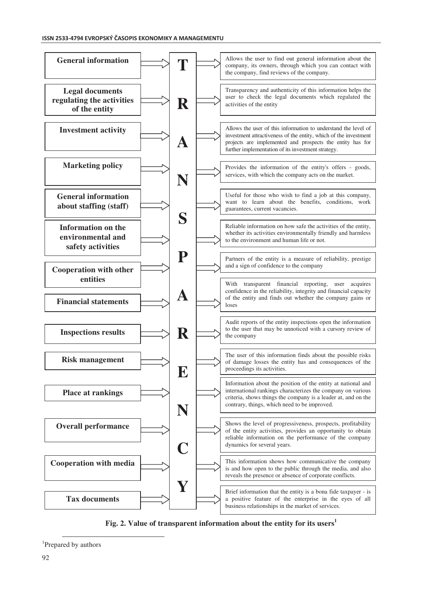

**Fig. 2. Value of transparent information about the entity for its users<sup>1</sup>**

 $\overline{a}$ 

<sup>&</sup>lt;sup>1</sup>Prepared by authors